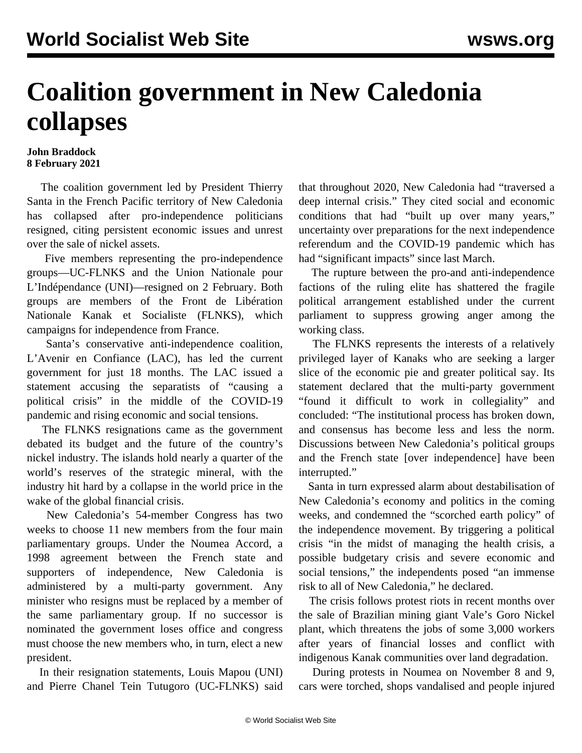## **Coalition government in New Caledonia collapses**

## **John Braddock 8 February 2021**

 The coalition government led by President Thierry Santa in the French Pacific territory of New Caledonia has collapsed after pro-independence politicians resigned, citing persistent economic issues and unrest over the sale of nickel assets.

 Five members representing the pro-independence groups—UC-FLNKS and the Union Nationale pour L'Indépendance (UNI)—resigned on 2 February. Both groups are members of the Front de Libération Nationale Kanak et Socialiste (FLNKS), which campaigns for independence from France.

 Santa's conservative anti-independence coalition, L'Avenir en Confiance (LAC), has led the current government for just 18 months. The LAC issued a statement accusing the separatists of "causing a political crisis" in the middle of the COVID-19 pandemic and rising economic and social tensions.

 The FLNKS resignations came as the government debated its budget and the future of the country's nickel industry. The islands hold nearly a quarter of the world's reserves of the strategic mineral, with the industry hit hard by a collapse in the world price in the wake of the global financial crisis.

 New Caledonia's 54-member Congress has two weeks to choose 11 new members from the four main parliamentary groups. Under the Noumea Accord, a 1998 agreement between the French state and supporters of independence, New Caledonia is administered by a multi-party government. Any minister who resigns must be replaced by a member of the same parliamentary group. If no successor is nominated the government loses office and congress must choose the new members who, in turn, elect a new president.

 In their resignation statements, Louis Mapou (UNI) and Pierre Chanel Tein Tutugoro (UC-FLNKS) said that throughout 2020, New Caledonia had "traversed a deep internal crisis." They cited social and economic conditions that had "built up over many years," uncertainty over preparations for the next independence referendum and the COVID-19 pandemic which has had "significant impacts" since last March.

 The rupture between the pro-and anti-independence factions of the ruling elite has shattered the fragile political arrangement established under the current parliament to suppress growing anger among the working class.

 The FLNKS represents the interests of a relatively privileged layer of Kanaks who are seeking a larger slice of the economic pie and greater political say. Its statement declared that the multi-party government "found it difficult to work in collegiality" and concluded: "The institutional process has broken down, and consensus has become less and less the norm. Discussions between New Caledonia's political groups and the French state [over independence] have been interrupted."

 Santa in turn expressed alarm about destabilisation of New Caledonia's economy and politics in the coming weeks, and condemned the "scorched earth policy" of the independence movement. By triggering a political crisis "in the midst of managing the health crisis, a possible budgetary crisis and severe economic and social tensions," the independents posed "an immense risk to all of New Caledonia," he declared.

 The crisis follows [protest](/en/articles/2020/12/18/newc-d18.html) riots in recent months over the sale of Brazilian mining giant Vale's Goro Nickel plant, which threatens the jobs of some 3,000 workers after years of financial losses and conflict with indigenous Kanak communities over land degradation.

 During protests in Noumea on November 8 and 9, cars were torched, shops vandalised and people injured